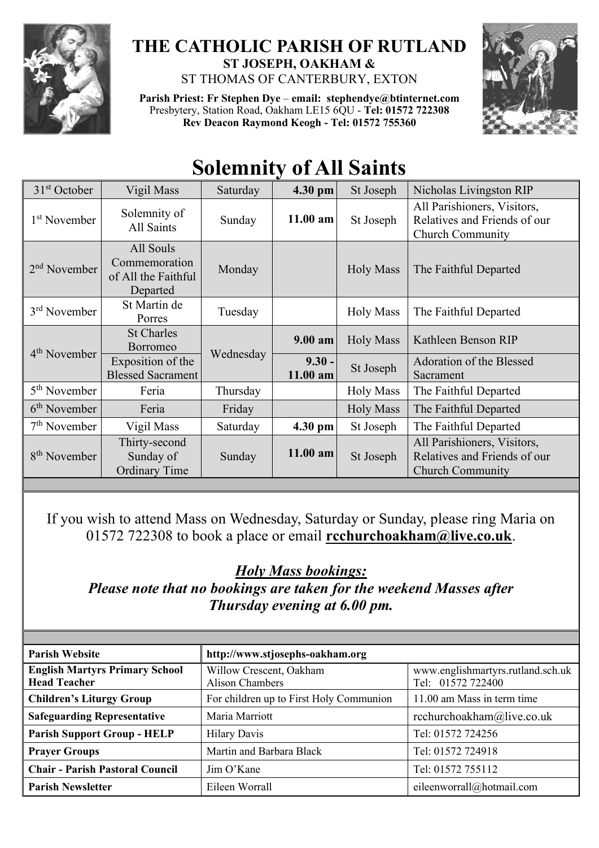

## **THE CATHOLIC PARISH OF RUTLAND ST JOSEPH, OAKHAM &**  ST THOMAS OF CANTERBURY, EXTON

**Parish Priest: Fr Stephen Dye** – **[email: stephendye@btinternet.com](mailto:email:%20%20stephendye@btinternet.com)** Presbytery, Station Road, Oakham LE15 6QU - **Tel: 01572 722308 Rev Deacon Raymond Keogh - Tel: 01572 755360**



## **Solemnity of All Saints**

| $31st$ October           | Vigil Mass                                                    | Saturday  | 4.30 pm              | St Joseph        | Nicholas Livingston RIP                                                                |
|--------------------------|---------------------------------------------------------------|-----------|----------------------|------------------|----------------------------------------------------------------------------------------|
| 1 <sup>st</sup> November | Solemnity of<br>All Saints                                    | Sunday    | $11.00$ am           | St Joseph        | All Parishioners, Visitors,<br>Relatives and Friends of our<br><b>Church Community</b> |
| $2nd$ November           | All Souls<br>Commemoration<br>of All the Faithful<br>Departed | Monday    |                      | <b>Holy Mass</b> | The Faithful Departed                                                                  |
| $3rd$ November           | St Martin de<br>Porres                                        | Tuesday   |                      | <b>Holy Mass</b> | The Faithful Departed                                                                  |
| 4 <sup>th</sup> November | <b>St Charles</b><br>Borromeo                                 | Wednesday | $9.00 a$ m           | <b>Holy Mass</b> | Kathleen Benson RIP                                                                    |
|                          | Exposition of the<br><b>Blessed Sacrament</b>                 |           | $9.30 -$<br>11.00 am | St Joseph        | Adoration of the Blessed<br>Sacrament                                                  |
| 5 <sup>th</sup> November | Feria                                                         | Thursday  |                      | <b>Holy Mass</b> | The Faithful Departed                                                                  |
| 6 <sup>th</sup> November | Feria                                                         | Friday    |                      | <b>Holy Mass</b> | The Faithful Departed                                                                  |
| $7th$ November           | Vigil Mass                                                    | Saturday  | 4.30 pm              | St Joseph        | The Faithful Departed                                                                  |
| 8 <sup>th</sup> November | Thirty-second<br>Sunday of<br><b>Ordinary Time</b>            | Sunday    | $11.00$ am           | St Joseph        | All Parishioners, Visitors,<br>Relatives and Friends of our<br><b>Church Community</b> |

If you wish to attend Mass on Wednesday, Saturday or Sunday, please ring Maria on 01572 722308 to book a place or email **[rcchurchoakham@live.co.uk](mailto:rcchurchoakham@live.co.uk)**.

*Holy Mass bookings:*

*Please note that no bookings are taken for the weekend Masses after Thursday evening at 6.00 pm.*

| <b>Parish Website</b>                                        | http://www.stjosephs-oakham.org                   |                                                        |  |
|--------------------------------------------------------------|---------------------------------------------------|--------------------------------------------------------|--|
| <b>English Martyrs Primary School</b><br><b>Head Teacher</b> | Willow Crescent, Oakham<br><b>Alison Chambers</b> | www.englishmartyrs.rutland.sch.uk<br>Tel: 01572 722400 |  |
| <b>Children's Liturgy Group</b>                              | For children up to First Holy Communion           | 11.00 am Mass in term time                             |  |
| <b>Safeguarding Representative</b>                           | Maria Marriott                                    | rcchurchoakham@live.co.uk                              |  |
| <b>Parish Support Group - HELP</b>                           | <b>Hilary Davis</b>                               | Tel: 01572 724256                                      |  |
| <b>Prayer Groups</b>                                         | Martin and Barbara Black                          | Tel: 01572 724918                                      |  |
| <b>Chair - Parish Pastoral Council</b>                       | Jim O'Kane                                        | Tel: 01572 755112                                      |  |
| <b>Parish Newsletter</b>                                     | Eileen Worrall                                    | eileenworrall@hotmail.com                              |  |